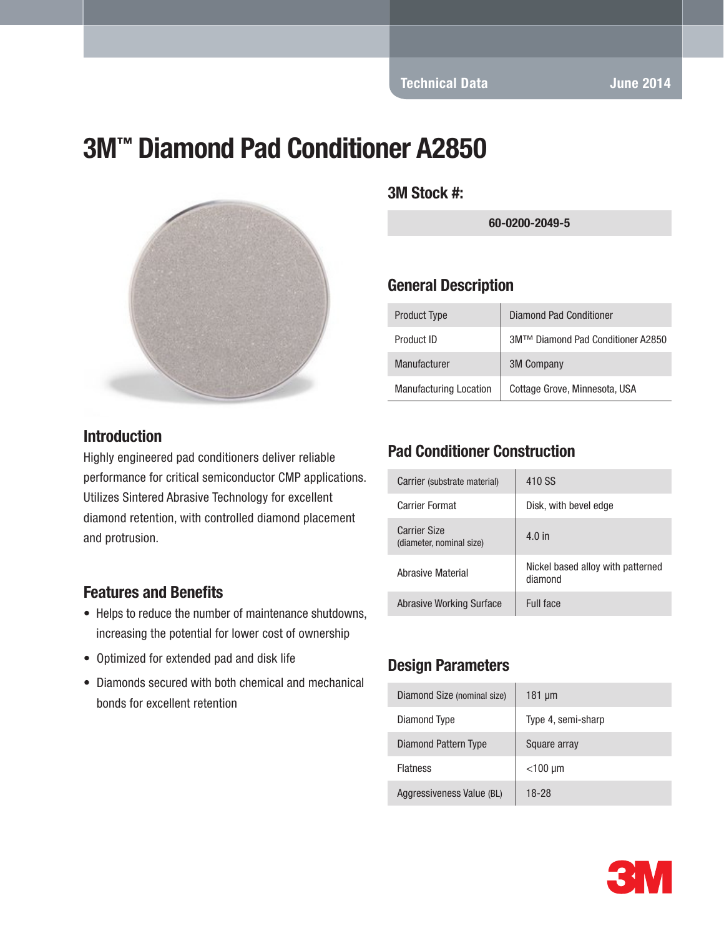Technical Data June 2014

# 3M™ Diamond Pad Conditioner A2850



#### **Introduction**

Highly engineered pad conditioners deliver reliable performance for critical semiconductor CMP applications. Utilizes Sintered Abrasive Technology for excellent diamond retention, with controlled diamond placement and protrusion.

#### Features and Benefits

- Helps to reduce the number of maintenance shutdowns, increasing the potential for lower cost of ownership
- Optimized for extended pad and disk life
- Diamonds secured with both chemical and mechanical bonds for excellent retention

3M Stock #:

60-0200-2049-5

#### General Description

| <b>Product Type</b>           | <b>Diamond Pad Conditioner</b>    |
|-------------------------------|-----------------------------------|
| Product ID                    | 3M™ Diamond Pad Conditioner A2850 |
| Manufacturer                  | <b>3M Company</b>                 |
| <b>Manufacturing Location</b> | Cottage Grove, Minnesota, USA     |

### Pad Conditioner Construction

| Carrier (substrate material)                    | 410 SS                                       |
|-------------------------------------------------|----------------------------------------------|
| Carrier Format                                  | Disk, with bevel edge                        |
| <b>Carrier Size</b><br>(diameter, nominal size) | $4.0$ in                                     |
| Abrasive Material                               | Nickel based alloy with patterned<br>diamond |
| <b>Abrasive Working Surface</b>                 | Full face                                    |

#### Design Parameters

| Diamond Size (nominal size) | $181 \mu m$        |
|-----------------------------|--------------------|
| Diamond Type                | Type 4, semi-sharp |
| Diamond Pattern Type        | Square array       |
| <b>Flatness</b>             | $<$ 100 µm         |
| Aggressiveness Value (BL)   | 18-28              |